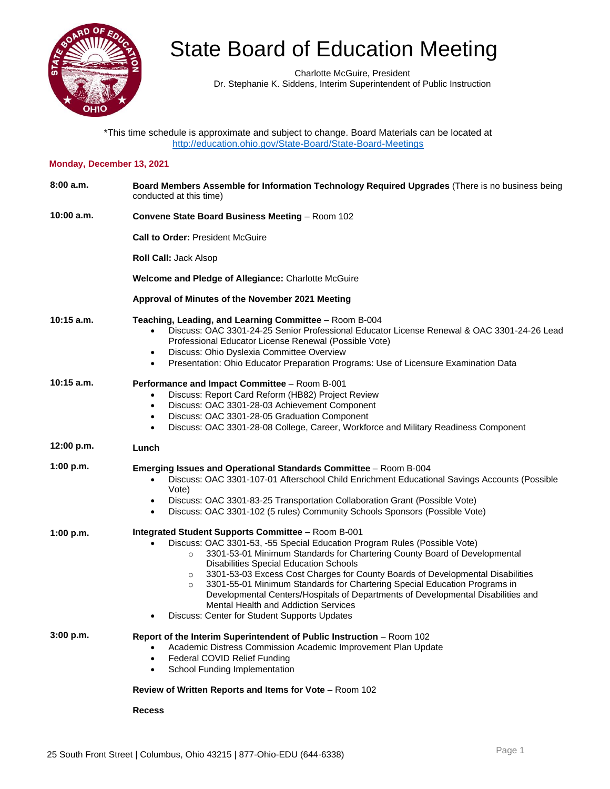

Charlotte McGuire, President Dr. Stephanie K. Siddens, Interim Superintendent of Public Instruction

\*This time schedule is approximate and subject to change. Board Materials can be located at <http://education.ohio.gov/State-Board/State-Board-Meetings>

### **Monday, December 13, 2021**

| 8:00a.m.     | Board Members Assemble for Information Technology Required Upgrades (There is no business being<br>conducted at this time)                                                                                                                                                                                                                                                                                                                                                                                                                                                                                                                       |
|--------------|--------------------------------------------------------------------------------------------------------------------------------------------------------------------------------------------------------------------------------------------------------------------------------------------------------------------------------------------------------------------------------------------------------------------------------------------------------------------------------------------------------------------------------------------------------------------------------------------------------------------------------------------------|
| 10:00 a.m.   | <b>Convene State Board Business Meeting - Room 102</b>                                                                                                                                                                                                                                                                                                                                                                                                                                                                                                                                                                                           |
|              | <b>Call to Order: President McGuire</b>                                                                                                                                                                                                                                                                                                                                                                                                                                                                                                                                                                                                          |
|              | <b>Roll Call: Jack Alsop</b>                                                                                                                                                                                                                                                                                                                                                                                                                                                                                                                                                                                                                     |
|              | <b>Welcome and Pledge of Allegiance: Charlotte McGuire</b>                                                                                                                                                                                                                                                                                                                                                                                                                                                                                                                                                                                       |
|              | Approval of Minutes of the November 2021 Meeting                                                                                                                                                                                                                                                                                                                                                                                                                                                                                                                                                                                                 |
| $10:15$ a.m. | Teaching, Leading, and Learning Committee - Room B-004<br>Discuss: OAC 3301-24-25 Senior Professional Educator License Renewal & OAC 3301-24-26 Lead<br>$\bullet$<br>Professional Educator License Renewal (Possible Vote)<br>Discuss: Ohio Dyslexia Committee Overview<br>$\bullet$<br>Presentation: Ohio Educator Preparation Programs: Use of Licensure Examination Data<br>$\bullet$                                                                                                                                                                                                                                                         |
| $10:15$ a.m. | Performance and Impact Committee - Room B-001<br>Discuss: Report Card Reform (HB82) Project Review<br>$\bullet$<br>Discuss: OAC 3301-28-03 Achievement Component<br>$\bullet$<br>Discuss: OAC 3301-28-05 Graduation Component<br>$\bullet$<br>Discuss: OAC 3301-28-08 College, Career, Workforce and Military Readiness Component                                                                                                                                                                                                                                                                                                                |
| 12:00 p.m.   | Lunch                                                                                                                                                                                                                                                                                                                                                                                                                                                                                                                                                                                                                                            |
| 1:00 p.m.    | <b>Emerging Issues and Operational Standards Committee</b> – Room B-004<br>Discuss: OAC 3301-107-01 Afterschool Child Enrichment Educational Savings Accounts (Possible<br>Vote)<br>Discuss: OAC 3301-83-25 Transportation Collaboration Grant (Possible Vote)<br>$\bullet$<br>Discuss: OAC 3301-102 (5 rules) Community Schools Sponsors (Possible Vote)                                                                                                                                                                                                                                                                                        |
| 1:00 p.m.    | Integrated Student Supports Committee - Room B-001<br>Discuss: OAC 3301-53, -55 Special Education Program Rules (Possible Vote)<br>3301-53-01 Minimum Standards for Chartering County Board of Developmental<br>$\circ$<br><b>Disabilities Special Education Schools</b><br>3301-53-03 Excess Cost Charges for County Boards of Developmental Disabilities<br>$\circ$<br>3301-55-01 Minimum Standards for Chartering Special Education Programs in<br>$\circ$<br>Developmental Centers/Hospitals of Departments of Developmental Disabilities and<br><b>Mental Health and Addiction Services</b><br>Discuss: Center for Student Supports Updates |
| 3:00 p.m.    | Report of the Interim Superintendent of Public Instruction - Room 102<br>Academic Distress Commission Academic Improvement Plan Update<br>Federal COVID Relief Funding<br>$\bullet$<br>School Funding Implementation<br>$\bullet$                                                                                                                                                                                                                                                                                                                                                                                                                |
|              | Review of Written Reports and Items for Vote - Room 102                                                                                                                                                                                                                                                                                                                                                                                                                                                                                                                                                                                          |

**Recess**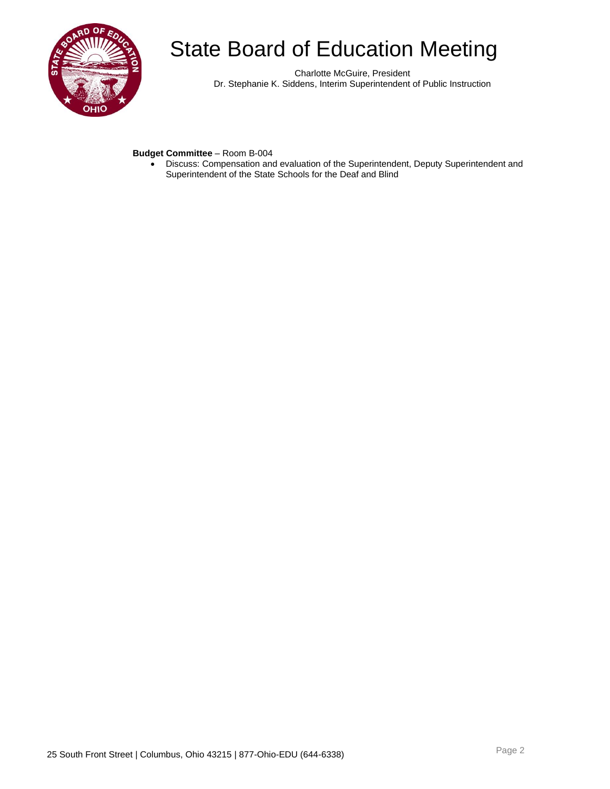

Charlotte McGuire, President Dr. Stephanie K. Siddens, Interim Superintendent of Public Instruction

### **Budget Committee** – Room B-004

• Discuss: Compensation and evaluation of the Superintendent, Deputy Superintendent and Superintendent of the State Schools for the Deaf and Blind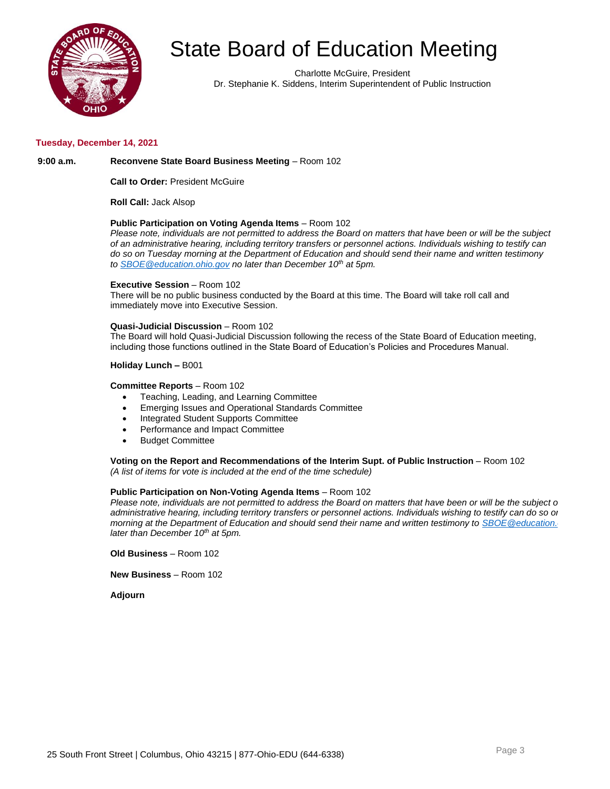

Charlotte McGuire, President Dr. Stephanie K. Siddens, Interim Superintendent of Public Instruction

#### **Tuesday, December 14, 2021**

#### **9:00 a.m. Reconvene State Board Business Meeting** – Room 102

**Call to Order:** President McGuire

**Roll Call:** Jack Alsop

#### **Public Participation on Voting Agenda Items** – Room 102

*Please note, individuals are not permitted to address the Board on matters that have been or will be the subject of an administrative hearing, including territory transfers or personnel actions. Individuals wishing to testify can do so on Tuesday morning at the Department of Education and should send their name and written testimony to [SBOE@education.ohio.gov](mailto:SBOE@education.ohio.gov) no later than December 10th at 5pm.* 

#### **Executive Session** – Room 102

There will be no public business conducted by the Board at this time. The Board will take roll call and immediately move into Executive Session.

#### **Quasi-Judicial Discussion** – Room 102

The Board will hold Quasi-Judicial Discussion following the recess of the State Board of Education meeting, including those functions outlined in the State Board of Education's Policies and Procedures Manual.

#### **Holiday Lunch –** B001

#### **Committee Reports** – Room 102

- Teaching, Leading, and Learning Committee
- Emerging Issues and Operational Standards Committee
- Integrated Student Supports Committee
- Performance and Impact Committee
- Budget Committee

**Voting on the Report and Recommendations of the Interim Supt. of Public Instruction** – Room 102 *(A list of items for vote is included at the end of the time schedule)*

#### **Public Participation on Non-Voting Agenda Items** - Room 102

*Please note, individuals are not permitted to address the Board on matters that have been or will be the subject o administrative hearing, including territory transfers or personnel actions. Individuals wishing to testify can do so on Tuesday morning at the Department of Education and should send their name and written testimony to SBOE@education. later than December 10th at 5pm.* 

**Old Business** – Room 102

**New Business** – Room 102

**Adjourn**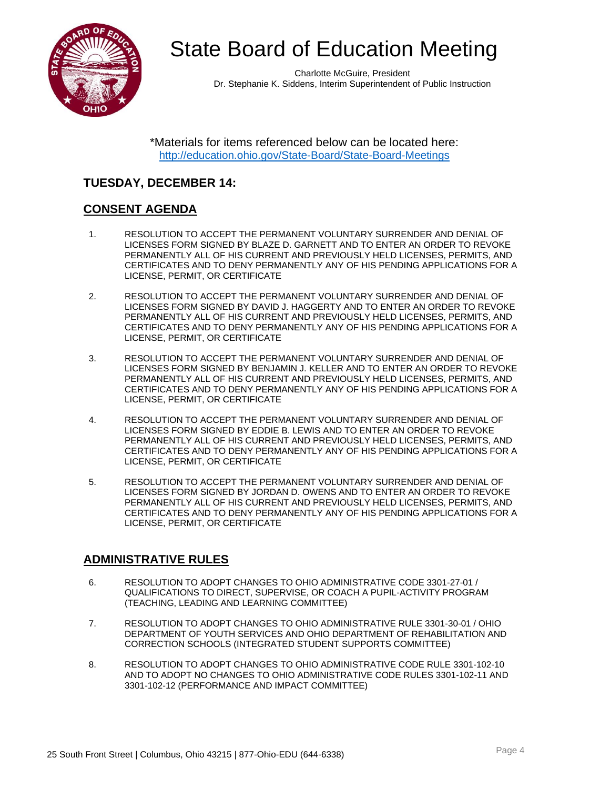

Charlotte McGuire, President Dr. Stephanie K. Siddens, Interim Superintendent of Public Instruction

\*Materials for items referenced below can be located here: <http://education.ohio.gov/State-Board/State-Board-Meetings>

## **TUESDAY, DECEMBER 14:**

### **CONSENT AGENDA**

- 1. RESOLUTION TO ACCEPT THE PERMANENT VOLUNTARY SURRENDER AND DENIAL OF LICENSES FORM SIGNED BY BLAZE D. GARNETT AND TO ENTER AN ORDER TO REVOKE PERMANENTLY ALL OF HIS CURRENT AND PREVIOUSLY HELD LICENSES, PERMITS, AND CERTIFICATES AND TO DENY PERMANENTLY ANY OF HIS PENDING APPLICATIONS FOR A LICENSE, PERMIT, OR CERTIFICATE
- 2. RESOLUTION TO ACCEPT THE PERMANENT VOLUNTARY SURRENDER AND DENIAL OF LICENSES FORM SIGNED BY DAVID J. HAGGERTY AND TO ENTER AN ORDER TO REVOKE PERMANENTLY ALL OF HIS CURRENT AND PREVIOUSLY HELD LICENSES, PERMITS, AND CERTIFICATES AND TO DENY PERMANENTLY ANY OF HIS PENDING APPLICATIONS FOR A LICENSE, PERMIT, OR CERTIFICATE
- 3. RESOLUTION TO ACCEPT THE PERMANENT VOLUNTARY SURRENDER AND DENIAL OF LICENSES FORM SIGNED BY BENJAMIN J. KELLER AND TO ENTER AN ORDER TO REVOKE PERMANENTLY ALL OF HIS CURRENT AND PREVIOUSLY HELD LICENSES, PERMITS, AND CERTIFICATES AND TO DENY PERMANENTLY ANY OF HIS PENDING APPLICATIONS FOR A LICENSE, PERMIT, OR CERTIFICATE
- 4. RESOLUTION TO ACCEPT THE PERMANENT VOLUNTARY SURRENDER AND DENIAL OF LICENSES FORM SIGNED BY EDDIE B. LEWIS AND TO ENTER AN ORDER TO REVOKE PERMANENTLY ALL OF HIS CURRENT AND PREVIOUSLY HELD LICENSES, PERMITS, AND CERTIFICATES AND TO DENY PERMANENTLY ANY OF HIS PENDING APPLICATIONS FOR A LICENSE, PERMIT, OR CERTIFICATE
- 5. RESOLUTION TO ACCEPT THE PERMANENT VOLUNTARY SURRENDER AND DENIAL OF LICENSES FORM SIGNED BY JORDAN D. OWENS AND TO ENTER AN ORDER TO REVOKE PERMANENTLY ALL OF HIS CURRENT AND PREVIOUSLY HELD LICENSES, PERMITS, AND CERTIFICATES AND TO DENY PERMANENTLY ANY OF HIS PENDING APPLICATIONS FOR A LICENSE, PERMIT, OR CERTIFICATE

### **ADMINISTRATIVE RULES**

- 6. RESOLUTION TO ADOPT CHANGES TO OHIO ADMINISTRATIVE CODE 3301-27-01 / QUALIFICATIONS TO DIRECT, SUPERVISE, OR COACH A PUPIL-ACTIVITY PROGRAM (TEACHING, LEADING AND LEARNING COMMITTEE)
- 7. RESOLUTION TO ADOPT CHANGES TO OHIO ADMINISTRATIVE RULE 3301-30-01 / OHIO DEPARTMENT OF YOUTH SERVICES AND OHIO DEPARTMENT OF REHABILITATION AND CORRECTION SCHOOLS (INTEGRATED STUDENT SUPPORTS COMMITTEE)
- 8. RESOLUTION TO ADOPT CHANGES TO OHIO ADMINISTRATIVE CODE RULE 3301-102-10 AND TO ADOPT NO CHANGES TO OHIO ADMINISTRATIVE CODE RULES 3301-102-11 AND 3301-102-12 (PERFORMANCE AND IMPACT COMMITTEE)